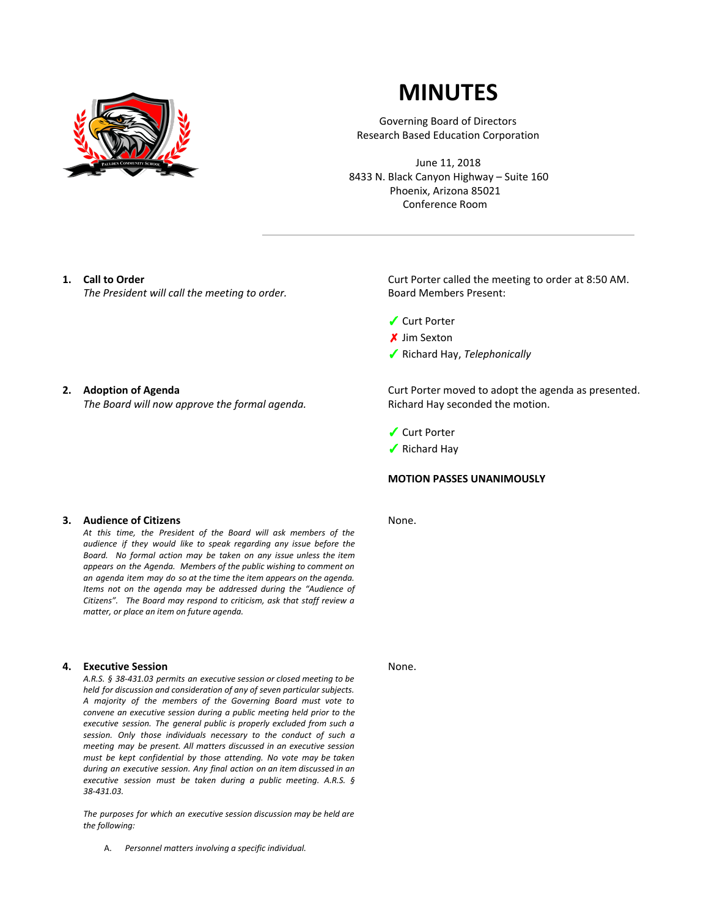

# **MINUTES**

Governing Board of Directors Research Based Education Corporation

June 11, 2018 8433 N. Black Canyon Highway – Suite 160 Phoenix, Arizona 85021 Conference Room

## **1. Call to Order**

*The President will call the meeting to order.*

#### **2. Adoption of Agenda**

*The Board will now approve the formal agenda.*

**3. Audience of Citizens**

*At this time, the President of the Board will ask members of the audience if they would like to speak regarding any issue before the Board. No formal action may be taken on any issue unless the item appears on the Agenda. Members of the public wishing to comment on an agenda item may do so at the time the item appears on the agenda. Items not on the agenda may be addressed during the "Audience of Citizens". The Board may respond to criticism, ask that staff review a matter, or place an item on future agenda.*

#### **4. Executive Session**

*A.R.S. § 38-431.03 permits an executive session or closed meeting to be held for discussion and consideration of any of seven particular subjects. A majority of the members of the Governing Board must vote to convene an executive session during a public meeting held prior to the executive session. The general public is properly excluded from such a session. Only those individuals necessary to the conduct of such a meeting may be present. All matters discussed in an executive session must be kept confidential by those attending. No vote may be taken during an executive session. Any final action on an item discussed in an executive session must be taken during a public meeting. A.R.S. § 38-431.03.*

*The purposes for which an executive session discussion may be held are the following:*

A. *Personnel matters involving a specific individual.*

Curt Porter called the meeting to order at 8:50 AM. Board Members Present:

- ✓ Curt Porter
- ✗ Jim Sexton
- ✓ Richard Hay, *Telephonically*

Curt Porter moved to adopt the agenda as presented. Richard Hay seconded the motion.

- ✓ Curt Porter
- ✓ Richard Hay

### **MOTION PASSES UNANIMOUSLY**

None.

None.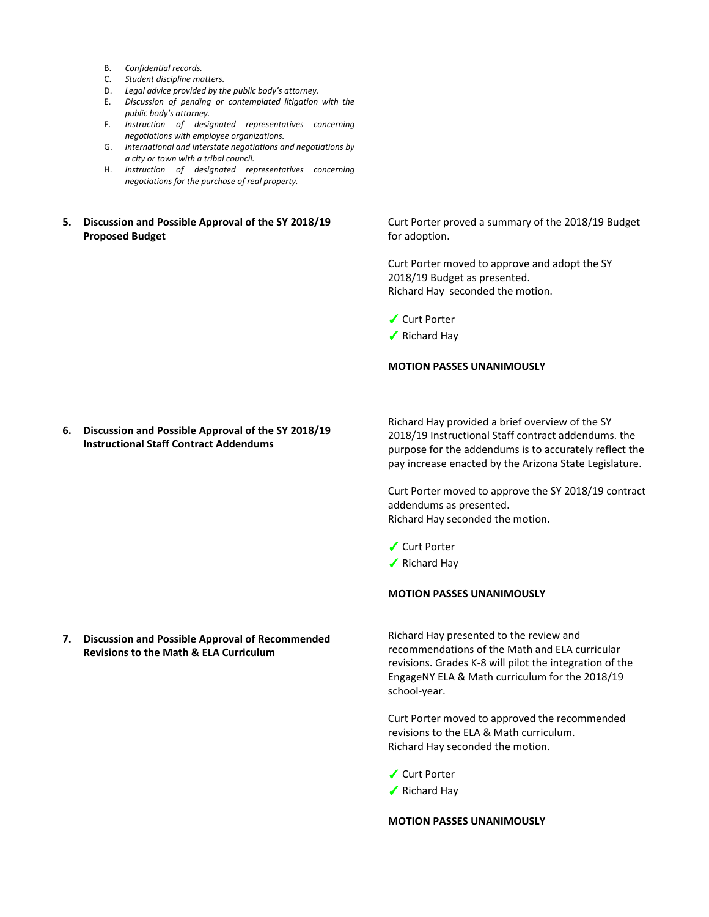- B. *Confidential records.*
- C. *Student discipline matters.*
- D. *Legal advice provided by the public body's attorney.*
- E. *Discussion of pending or contemplated litigation with the public body's attorney.*
- F. *Instruction of designated representatives concerning negotiations with employee organizations.*
- G. *International and interstate negotiations and negotiations by a city or town with a tribal council.*
- H. *Instruction of designated representatives concerning negotiations for the purchase of real property.*

# **5. Discussion and Possible Approval of the SY 2018/19 Proposed Budget**

Curt Porter proved a summary of the 2018/19 Budget for adoption.

Curt Porter moved to approve and adopt the SY 2018/19 Budget as presented. Richard Hay seconded the motion.

✓ Curt Porter

✓ Richard Hay

## **MOTION PASSES UNANIMOUSLY**

**6. Discussion and Possible Approval of the SY 2018/19 Instructional Staff Contract Addendums**

Richard Hay provided a brief overview of the SY 2018/19 Instructional Staff contract addendums. the purpose for the addendums is to accurately reflect the pay increase enacted by the Arizona State Legislature.

Curt Porter moved to approve the SY 2018/19 contract addendums as presented. Richard Hay seconded the motion.

- ✓ Curt Porter
- ✓ Richard Hay

**MOTION PASSES UNANIMOUSLY**

**7. Discussion and Possible Approval of Recommended Revisions to the Math & ELA Curriculum**

Richard Hay presented to the review and recommendations of the Math and ELA curricular revisions. Grades K-8 will pilot the integration of the EngageNY ELA & Math curriculum for the 2018/19 school-year.

Curt Porter moved to approved the recommended revisions to the ELA & Math curriculum. Richard Hay seconded the motion.

- ✓ Curt Porter
- ✓ Richard Hay

**MOTION PASSES UNANIMOUSLY**